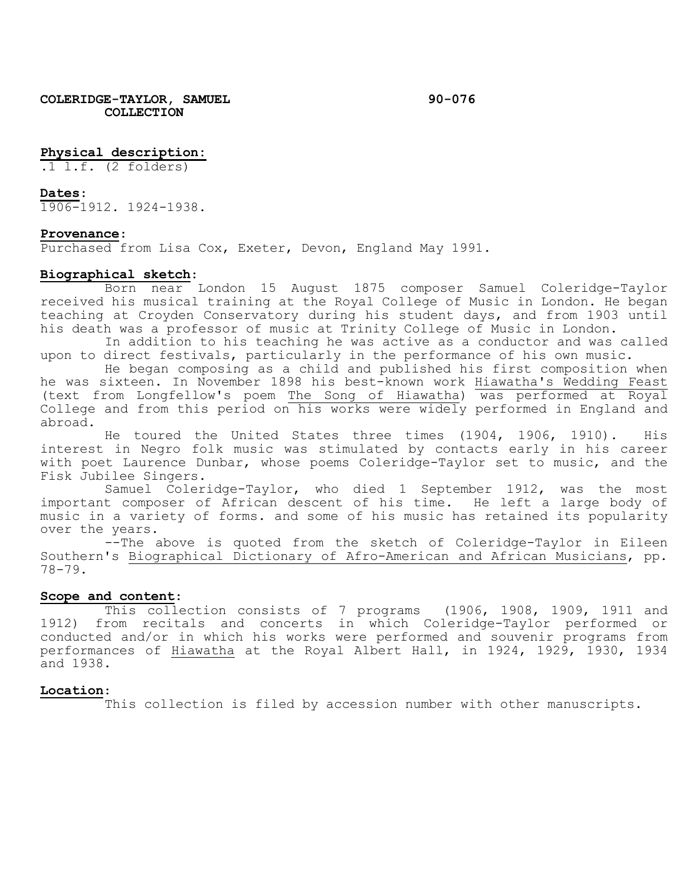## **Physical description:**

.1 l.f. (2 folders)

#### **Dates**:

1906-1912. 1924-1938.

#### **Provenance**:

Purchased from Lisa Cox, Exeter, Devon, England May 1991.

## **Biographical sketch**:

Born near London 15 August 1875 composer Samuel Coleridge-Taylor received his musical training at the Royal College of Music in London. He began teaching at Croyden Conservatory during his student days, and from 1903 until his death was a professor of music at Trinity College of Music in London.

In addition to his teaching he was active as a conductor and was called upon to direct festivals, particularly in the performance of his own music.

He began composing as a child and published his first composition when he was sixteen. In November 1898 his best-known work Hiawatha's Wedding Feast (text from Longfellow's poem The Song of Hiawatha) was performed at Royal College and from this period on his works were widely performed in England and abroad.

He toured the United States three times (1904, 1906, 1910). His interest in Negro folk music was stimulated by contacts early in his career with poet Laurence Dunbar, whose poems Coleridge-Taylor set to music, and the Fisk Jubilee Singers.

Samuel Coleridge-Taylor, who died 1 September 1912, was the most important composer of African descent of his time. He left a large body of music in a variety of forms. and some of his music has retained its popularity over the years.

--The above is quoted from the sketch of Coleridge-Taylor in Eileen Southern's Biographical Dictionary of Afro-American and African Musicians, pp. 78-79.

## **Scope and content**:

This collection consists of 7 programs (1906, 1908, 1909, 1911 and 1912) from recitals and concerts in which Coleridge-Taylor performed or conducted and/or in which his works were performed and souvenir programs from performances of Hiawatha at the Royal Albert Hall, in 1924, 1929, 1930, 1934 and 1938.

### **Location**:

This collection is filed by accession number with other manuscripts.